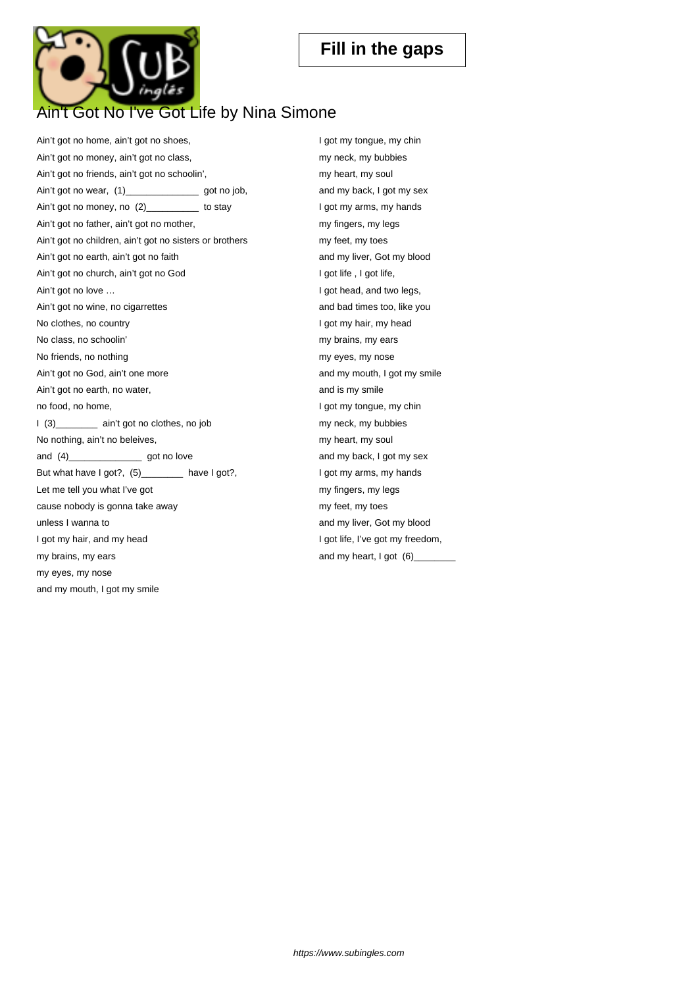## [Ain't Got No I've Got Li](https://www.subingles.com)fe by Nina Simone

Ain't got no home, ain't got no shoes, Ain't got no money, ain't got no class, Ain't got no friends, ain't got no schoolin', Ain't got no wear, (1)\_\_\_\_\_\_\_\_\_\_\_\_\_\_ got no job, Ain't got no money, no (2)\_\_\_\_\_\_\_\_\_\_ to stay Ain't got no father, ain't got no mother, Ain't got no children, ain't got no sisters or brothers Ain't got no earth, ain't got no faith Ain't got no church, ain't got no God Ain't got no love … Ain't got no wine, no cigarrettes No clothes, no country No class, no schoolin' No friends, no nothing Ain't got no God, ain't one more Ain't got no earth, no water, no food, no home, I (3)\_\_\_\_\_\_\_\_ ain't got no clothes, no job No nothing, ain't no beleives, and (4)\_\_\_\_\_\_\_\_\_\_\_\_\_\_ got no love But what have I got?, (5) have I got?, Let me tell you what I've got cause nobody is gonna take away unless I wanna to I got my hair, and my head my brains, my ears my eyes, my nose and my mouth, I got my smile

I got my tongue, my chin my neck, my bubbies my heart, my soul and my back, I got my sex I got my arms, my hands my fingers, my legs my feet, my toes and my liver, Got my blood I got life, I got life, I got head, and two legs, and bad times too, like you I got my hair, my head my brains, my ears my eyes, my nose and my mouth, I got my smile and is my smile I got my tongue, my chin my neck, my bubbies my heart, my soul and my back, I got my sex I got my arms, my hands my fingers, my legs my feet, my toes and my liver, Got my blood I got life, I've got my freedom, and my heart,  $I$  got  $(6)$